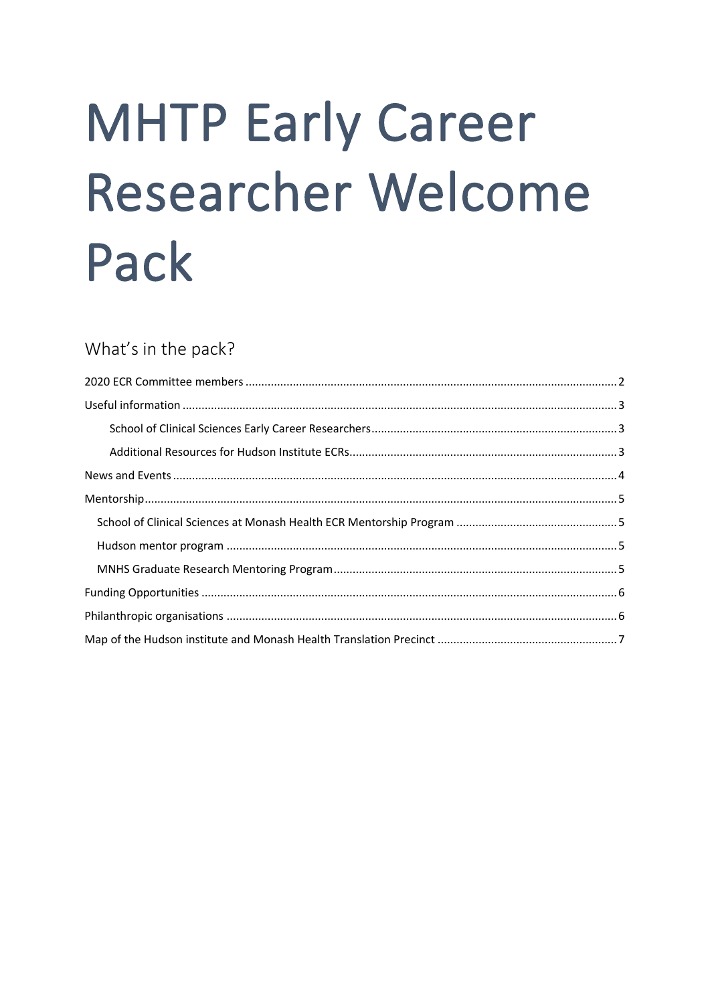# **MHTP Early Career Researcher Welcome** Pack

# What's in the pack?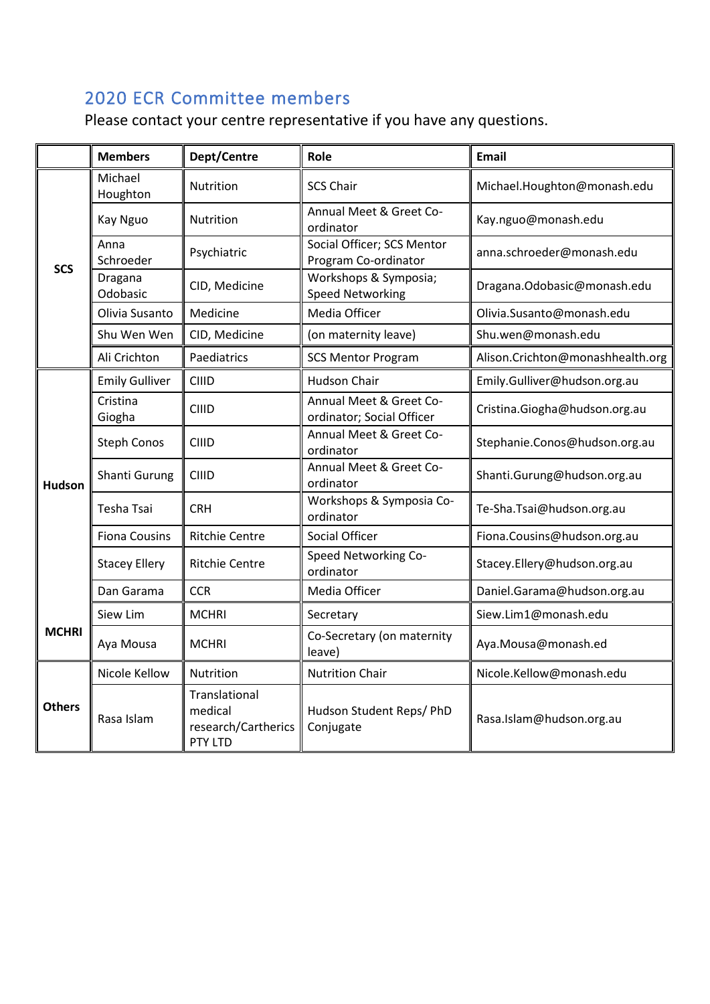# <span id="page-1-0"></span>2020 ECR Committee members

Please contact your centre representative if you have any questions.

|               | <b>Members</b>        | Dept/Centre                                                | Role                                                 | <b>Email</b>                     |
|---------------|-----------------------|------------------------------------------------------------|------------------------------------------------------|----------------------------------|
| <b>SCS</b>    | Michael<br>Houghton   | Nutrition                                                  | <b>SCS Chair</b>                                     | Michael.Houghton@monash.edu      |
|               | Kay Nguo              | Nutrition                                                  | Annual Meet & Greet Co-<br>ordinator                 | Kay.nguo@monash.edu              |
|               | Anna<br>Schroeder     | Psychiatric                                                | Social Officer; SCS Mentor<br>Program Co-ordinator   | anna.schroeder@monash.edu        |
|               | Dragana<br>Odobasic   | CID, Medicine                                              | Workshops & Symposia;<br><b>Speed Networking</b>     | Dragana.Odobasic@monash.edu      |
|               | Olivia Susanto        | Medicine                                                   | Media Officer                                        | Olivia.Susanto@monash.edu        |
|               | Shu Wen Wen           | CID, Medicine                                              | (on maternity leave)                                 | Shu.wen@monash.edu               |
|               | Ali Crichton          | Paediatrics                                                | <b>SCS Mentor Program</b>                            | Alison.Crichton@monashhealth.org |
|               | <b>Emily Gulliver</b> | CIIID                                                      | Hudson Chair                                         | Emily.Gulliver@hudson.org.au     |
|               | Cristina<br>Giogha    | CIIID                                                      | Annual Meet & Greet Co-<br>ordinator; Social Officer | Cristina.Giogha@hudson.org.au    |
|               | <b>Steph Conos</b>    | CIIID                                                      | Annual Meet & Greet Co-<br>ordinator                 | Stephanie.Conos@hudson.org.au    |
| <b>Hudson</b> | Shanti Gurung         | CIIID                                                      | Annual Meet & Greet Co-<br>ordinator                 | Shanti.Gurung@hudson.org.au      |
|               | Tesha Tsai            | <b>CRH</b>                                                 | Workshops & Symposia Co-<br>ordinator                | Te-Sha.Tsai@hudson.org.au        |
|               | <b>Fiona Cousins</b>  | <b>Ritchie Centre</b>                                      | Social Officer                                       | Fiona.Cousins@hudson.org.au      |
|               | <b>Stacey Ellery</b>  | <b>Ritchie Centre</b>                                      | Speed Networking Co-<br>ordinator                    | Stacey.Ellery@hudson.org.au      |
|               | Dan Garama            | <b>CCR</b>                                                 | Media Officer                                        | Daniel.Garama@hudson.org.au      |
|               | Siew Lim              | <b>MCHRI</b>                                               | Secretary                                            | Siew.Lim1@monash.edu             |
| <b>MCHRI</b>  | Aya Mousa             | <b>MCHRI</b>                                               | Co-Secretary (on maternity<br>leave)                 | Aya.Mousa@monash.ed              |
| <b>Others</b> | Nicole Kellow         | Nutrition                                                  | <b>Nutrition Chair</b>                               | Nicole.Kellow@monash.edu         |
|               | Rasa Islam            | Translational<br>medical<br>research/Cartherics<br>PTY LTD | Hudson Student Reps/ PhD<br>Conjugate                | Rasa.Islam@hudson.org.au         |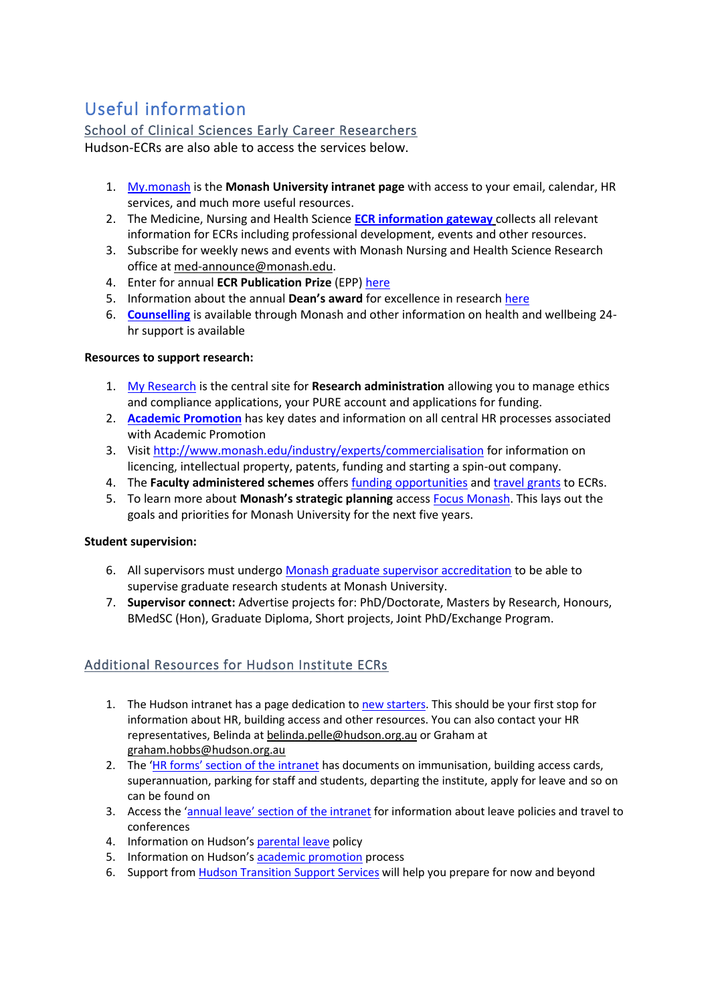# <span id="page-2-0"></span>Useful information

## <span id="page-2-1"></span>School of Clinical Sciences Early Career Researchers

Hudson-ECRs are also able to access the services below.

- 1. [My.monash](https://my.monash/campusm/home#menu) is the **Monash University intranet page** with access to your email, calendar, HR services, and much more useful resources.
- 2. The Medicine, Nursing and Health Science **[ECR information gateway](https://www.intranet.monash/medicine/research/ecrinformationgateway)** collects all relevant information for ECRs including professional development, events and other resources.
- 3. Subscribe for weekly news and events with Monash Nursing and Health Science Research office at [med-announce@monash.edu.](mailto:med-announce@monash.edu)
- 4. Enter for annual **ECR Publication Prize** (EPP) [here](https://www.intranet.monash/medicine/research/ecrinformationgateway/publication-prize-winners)
- 5. Information about the annual **Dean's award** for excellence in researc[h here](https://www.intranet.monash/medicine/awards)
- 6. **[Counselling](https://www.monash.edu/health/counselling)** is available through Monash and other information on health and wellbeing 24 hr support is available

#### **Resources to support research:**

- 1. [My Research](https://www.monash.edu/myResearch) is the central site for **Research administration** allowing you to manage ethics and compliance applications, your PURE account and applications for funding.
- 2. **[Academic Promotion](https://www.monash.edu/academicpromotion/key-dates)** has key dates and information on all central HR processes associated with Academic Promotion
- 3. Visi[t http://www.monash.edu/industry/experts/commercialisation](http://www.monash.edu/industry/experts/commercialisation) for information on licencing, intellectual property, patents, funding and starting a spin-out company.
- 4. The **Faculty administered schemes** offers [funding opportunities](https://www.intranet.monash/medicine/research/grantschemes#Faculty) and [travel grants](https://www.intranet.monash/medicine/research/grantschemes#Faculty) to ECRs.
- 5. To learn more about **Monash's strategic planning** access [Focus Monash.](https://www.monash.edu/about/who/strategic-plan) This lays out the goals and priorities for Monash University for the next five years.

#### **Student supervision:**

- 6. All supervisors must undergo [Monash graduate supervisor accreditation](https://www.monash.edu/graduate-research/supervisors-and-examiners/supervisors/training) to be able to supervise graduate research students at Monash University.
- 7. **Supervisor connect:** Advertise projects for: PhD/Doctorate, Masters by Research, Honours, BMedSC (Hon), Graduate Diploma, Short projects, Joint PhD/Exchange Program.

## <span id="page-2-2"></span>Additional Resources for Hudson Institute ECRs

- 1. The Hudson intranet has a page dedication t[o new starters.](https://sites.google.com/a/hudson.org.au/hudson/human-resources-payroll/new-starters) This should be your first stop for information about HR, building access and other resources. You can also contact your HR representatives, Belinda a[t belinda.pelle@hudson.org.au](mailto:belinda.pelle@hudson.org.au) or Graham at [graham.hobbs@hudson.org.au](mailto:graham.hobbs@hudson.org.au)
- 2. The ['HR forms' section of the intranet](https://sites.google.com/a/hudson.org.au/hudson/human-resources-payroll/hr-forms) has documents on immunisation, building access cards, superannuation, parking for staff and students, departing the institute, apply for leave and so on can be found on
- 3. Access the ['annual leave' section of the intranet](https://sites.google.com/a/hudson.org.au/hudson/human-resources-payroll/staff-leave) for information about leave policies and travel to conferences
- 4. Information on Hudson's [parental leave](https://sites.google.com/a/hudson.org.au/hudson/human-resources-payroll/parental-leave) policy
- 5. Information on Hudson's [academic promotion](https://sites.google.com/a/hudson.org.au/hudson/human-resources-payroll/promotions-res-level-a---e) process
- 6. Support fro[m Hudson Transition Support Services](https://sites.google.com/a/hudson.org.au/hudson/human-resources-payroll/hudson-transiiton-support-services) will help you prepare for now and beyond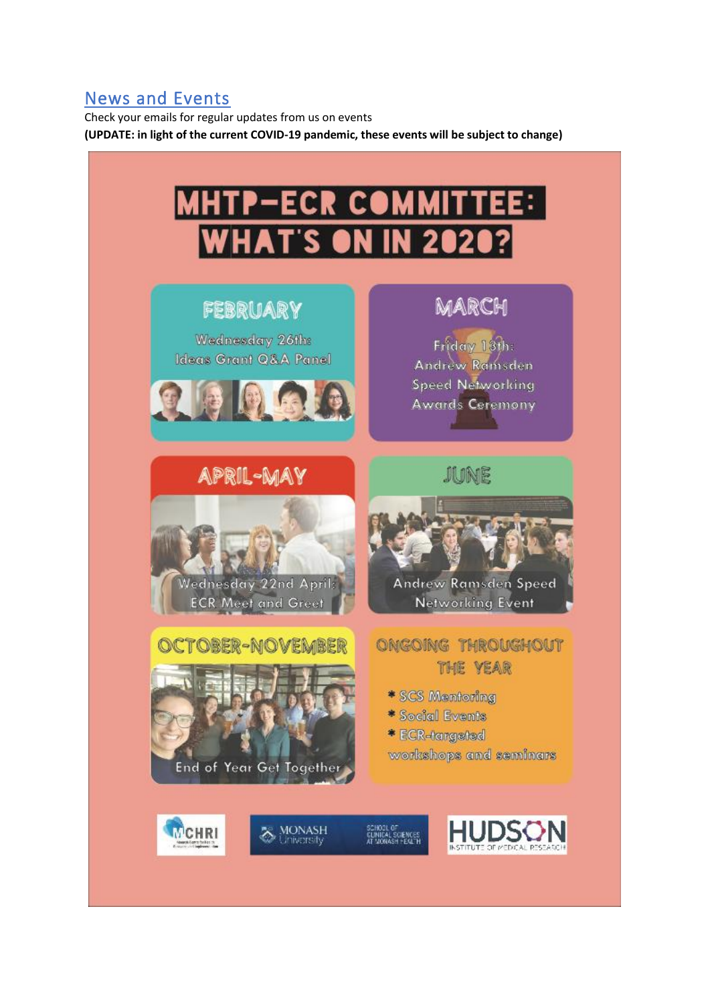## <span id="page-3-0"></span>News and Events

Check your emails for regular updates from us on events **(UPDATE: in light of the current COVID-19 pandemic, these events will be subject to change)**

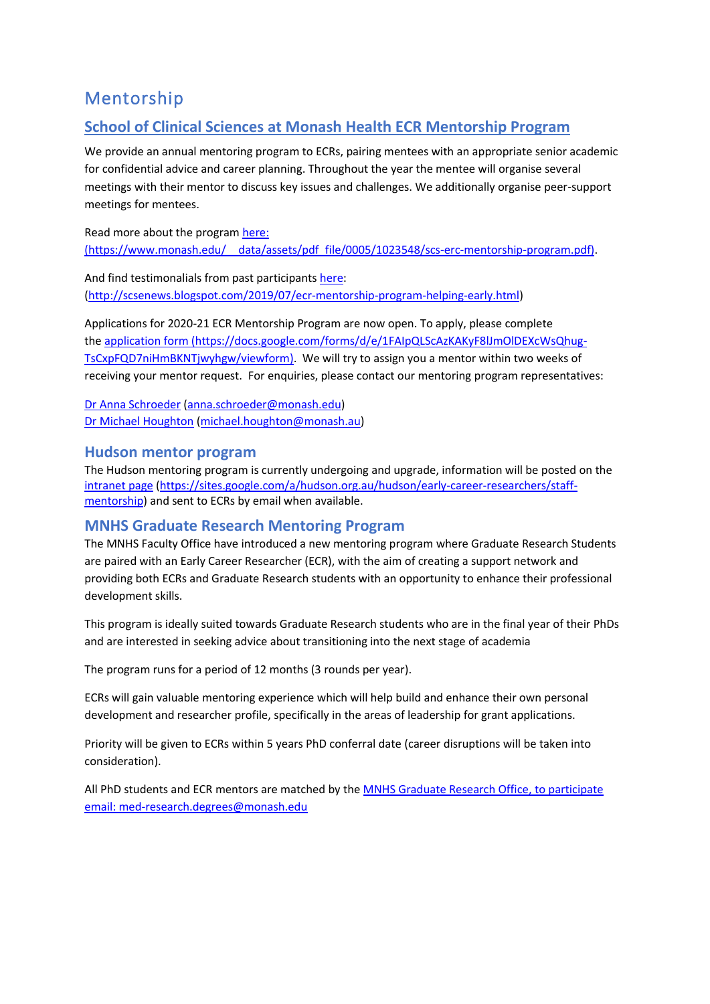# <span id="page-4-0"></span>Mentorship

## <span id="page-4-1"></span>**School of Clinical Sciences at Monash Health ECR Mentorship Program**

We provide an annual mentoring program to ECRs, pairing mentees with an appropriate senior academic for confidential advice and career planning. Throughout the year the mentee will organise several meetings with their mentor to discuss key issues and challenges. We additionally organise peer-support meetings for mentees.

Read more about the program [here:](https://www.monash.edu/__data/assets/pdf_file/0005/1023548/scs-erc-mentorship-program.pdf) (https://www.monash.edu/\_\_data/assets/pdf\_file/0005/1023548/scs-erc-mentorship-program.pdf).

And find testimonalials from past participants [here:](http://scsenews.blogspot.com/2019/07/ecr-mentorship-program-helping-early.html) [\(http://scsenews.blogspot.com/2019/07/ecr-mentorship-program-helping-early.html\)](http://scsenews.blogspot.com/2019/07/ecr-mentorship-program-helping-early.html)

Applications for 2020-21 ECR Mentorship Program are now open. To apply, please complete the [application form](https://docs.google.com/forms/d/e/1FAIpQLScAzKAKyF8lJmOlDEXcWsQhug-TsCxpFQD7niHmBKNTjwyhgw/viewform) (https://docs.google.com/forms/d/e/1FAIpQLScAzKAKyF8lJmOlDEXcWsQhug-TsCxpFQD7niHmBKNTjwyhgw/viewform). We will try to assign you a mentor within two weeks of receiving your mentor request. For enquiries, please contact our mentoring program representatives:

[Dr Anna Schroeder](https://research.monash.edu/en/persons/anna-schroeder) [\(anna.schroeder@monash.edu\)](mailto:anna.schroeder@monash.edu) [Dr Michael Houghton](https://research.monash.edu/en/persons/michael-houghton) [\(michael.houghton@monash.au\)](mailto:michael.houghton@monash.au)

### <span id="page-4-2"></span>**Hudson mentor program**

The Hudson mentoring program is currently undergoing and upgrade, information will be posted on the [intranet page](https://sites.google.com/a/hudson.org.au/hudson/early-career-researchers/staff-mentorship) [\(https://sites.google.com/a/hudson.org.au/hudson/early-career-researchers/staff](https://sites.google.com/a/hudson.org.au/hudson/early-career-researchers/staff-mentorship)[mentorship\)](https://sites.google.com/a/hudson.org.au/hudson/early-career-researchers/staff-mentorship) and sent to ECRs by email when available.

## <span id="page-4-3"></span>**MNHS Graduate Research Mentoring Program**

The MNHS Faculty Office have introduced a new mentoring program where Graduate Research Students are paired with an Early Career Researcher (ECR), with the aim of creating a support network and providing both ECRs and Graduate Research students with an opportunity to enhance their professional development skills.

This program is ideally suited towards Graduate Research students who are in the final year of their PhDs and are interested in seeking advice about transitioning into the next stage of academia

The program runs for a period of 12 months (3 rounds per year).

ECRs will gain valuable mentoring experience which will help build and enhance their own personal development and researcher profile, specifically in the areas of leadership for grant applications.

Priority will be given to ECRs within 5 years PhD conferral date (career disruptions will be taken into consideration).

All PhD students and ECR mentors are matched by th[e MNHS Graduate Research Office,](mailto:med-research.degrees@monash.edu%20%3cmed-research.degrees@monash.edu%3e;) to participate email: med-research.degrees@monash.edu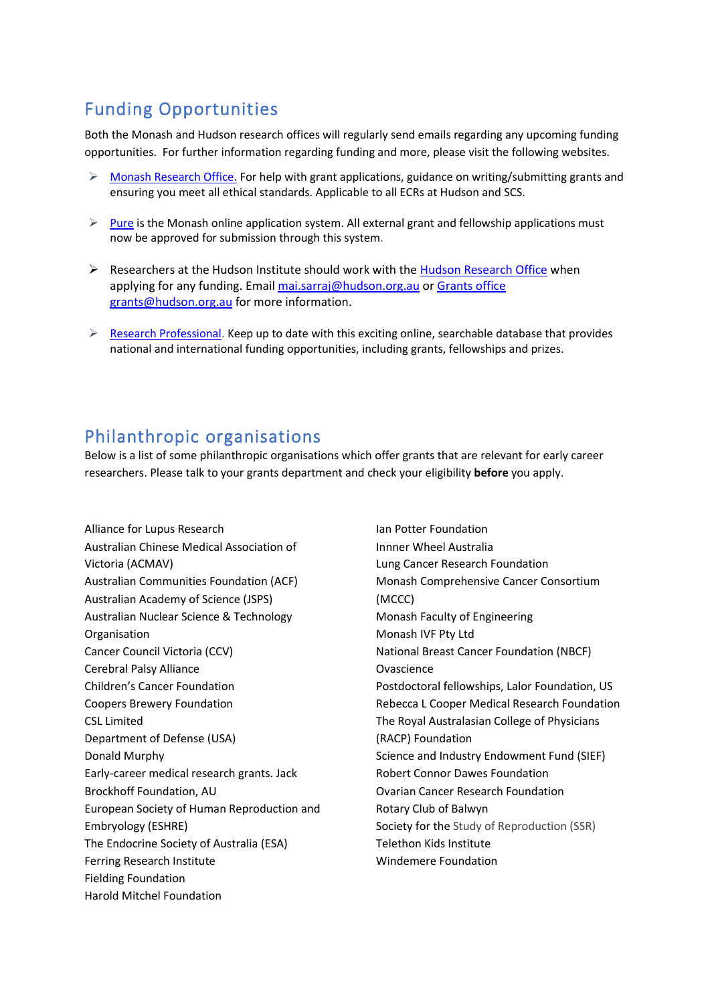# <span id="page-5-0"></span>Funding Opportunities

Both the Monash and Hudson research offices will regularly send emails regarding any upcoming funding opportunities. For further information regarding funding and more, please visit the following websites.

- $\triangleright$  [Monash Research Office.](https://www.intranet.monash/researchadmin) For help with grant applications, guidance on writing/submitting grants and ensuring you meet all ethical standards. Applicable to all ECRs at Hudson and SCS.
- $\triangleright$  [Pure](https://www.monash.edu/myResearch) is the Monash online application system. All external grant and fellowship applications must now be approved for submission through this system.
- $\triangleright$  Researchers at the Hudson Institute should work with the [Hudson Research Office](https://sites.google.com/a/hudson.org.au/hudson/rao) when applying for any funding. Email [mai.sarraj@hudson.org.au](mailto:mai.sarraj@hudson.org.au) or Grants office [grants@hudson.org.au](mailto:Grants%20office%20grants@hudson.org.au) for more information.
- $\triangleright$  [Research Professional.](https://www.researchprofessional.com/sso/login?service=https%3A%2F%2Fwww.researchprofessional.com%2F%2Fj_spring_cas_security_check#1441950110041) Keep up to date with this exciting online, searchable database that provides national and international funding opportunities, including grants, fellowships and prizes.

## <span id="page-5-1"></span>Philanthropic organisations

Below is a list of some philanthropic organisations which offer grants that are relevant for early career researchers. Please talk to your grants department and check your eligibility **before** you apply.

Alliance for Lupus Research Australian Chinese Medical Association of Victoria (ACMAV) Australian Communities Foundation (ACF) Australian Academy of Science (JSPS) Australian Nuclear Science & Technology Organisation Cancer Council Victoria (CCV) Cerebral Palsy Alliance Children's Cancer Foundation Coopers Brewery Foundation CSL Limited Department of Defense (USA) Donald Murphy Early-career medical research grants. Jack Brockhoff Foundation, AU European Society of Human Reproduction and Embryology (ESHRE) The Endocrine Society of Australia (ESA) Ferring Research Institute Fielding Foundation Harold Mitchel Foundation

Ian Potter Foundation Innner Wheel Australia Lung Cancer Research Foundation Monash Comprehensive Cancer Consortium (MCCC) Monash Faculty of Engineering Monash IVF Pty Ltd National Breast Cancer Foundation (NBCF) Ovascience Postdoctoral fellowships, Lalor Foundation, US Rebecca L Cooper Medical Research Foundation The Royal Australasian College of Physicians (RACP) Foundation Science and Industry Endowment Fund (SIEF) Robert Connor Dawes Foundation Ovarian Cancer Research Foundation Rotary Club of Balwyn Society for the Study of Reproduction (SSR) Telethon Kids Institute Windemere Foundation